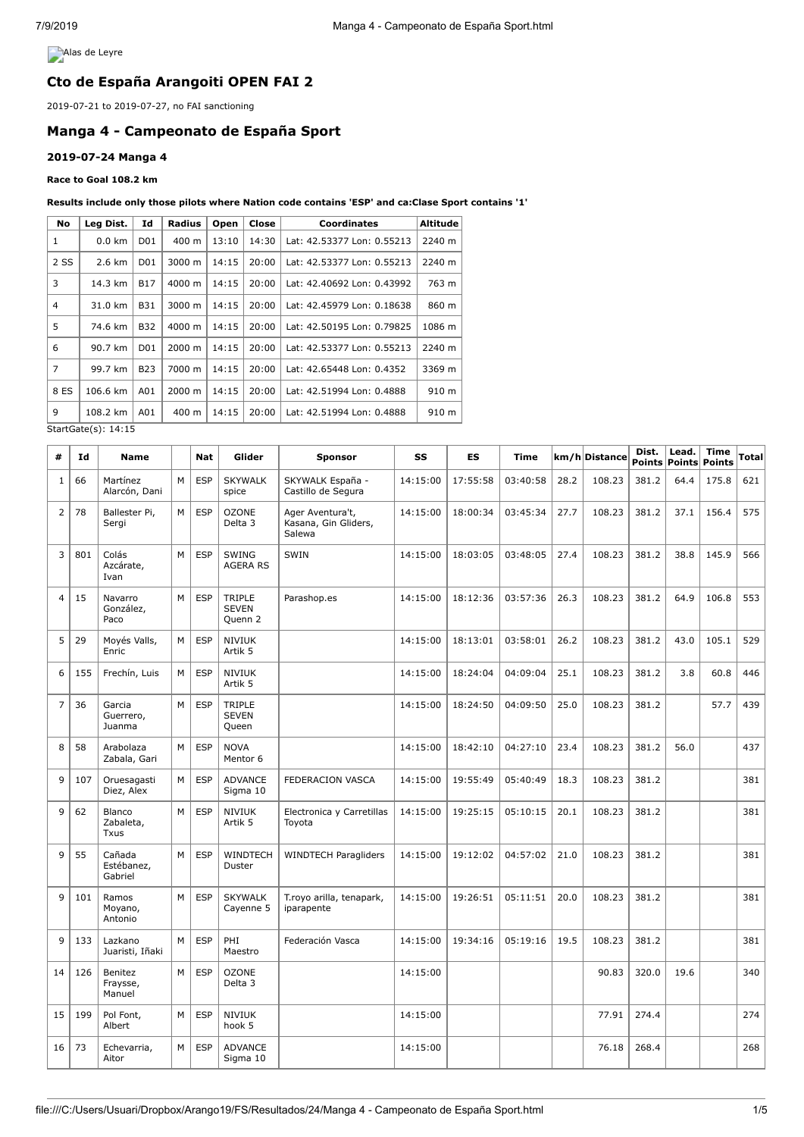**Alas de Leyre** 

# **Cto de España Arangoiti OPEN FAI 2**

2019-07-21 to 2019-07-27, no FAI sanctioning

#### **Manga 4 - Campeonato de España Sport**

## **2019-07-24 Manga 4**

**Race to Goal 108.2 km**

#### **Results include only those pilots where Nation code contains 'ESP' and ca:Clase Sport contains '1'**

| No                  | Leg Dist.        | Id              | Radius | Open  | Close | <b>Coordinates</b>         | <b>Altitude</b> |
|---------------------|------------------|-----------------|--------|-------|-------|----------------------------|-----------------|
| 1                   | $0.0 \text{ km}$ | D01             | 400 m  | 13:10 | 14:30 | Lat: 42.53377 Lon: 0.55213 | 2240 m          |
| 2 SS                | 2.6 km           | D01             | 3000 m | 14:15 | 20:00 | Lat: 42.53377 Lon: 0.55213 | 2240 m          |
| 3                   | 14.3 km          | <b>B17</b>      | 4000 m | 14:15 | 20:00 | Lat: 42.40692 Lon: 0.43992 | 763 m           |
| $\overline{4}$      | 31.0 km          | <b>B31</b>      | 3000 m | 14:15 | 20:00 | Lat: 42.45979 Lon: 0.18638 | 860 m           |
| 5                   | 74.6 km          | <b>B32</b>      | 4000 m | 14:15 | 20:00 | Lat: 42.50195 Lon: 0.79825 | 1086 m          |
| 6                   | 90.7 km          | D <sub>01</sub> | 2000 m | 14:15 | 20:00 | Lat: 42.53377 Lon: 0.55213 | 2240 m          |
| $\overline{7}$      | 99.7 km          | <b>B23</b>      | 7000 m | 14:15 | 20:00 | Lat: 42.65448 Lon: 0.4352  | 3369 m          |
| 8 ES                | 106.6 km         | A01             | 2000 m | 14:15 | 20:00 | Lat: 42.51994 Lon: 0.4888  | 910 m           |
| 9                   | 108.2 km         | A01             | 400 m  | 14:15 | 20:00 | Lat: 42.51994 Lon: 0.4888  | 910 m           |
| StartGate(s): 14:15 |                  |                 |        |       |       |                            |                 |

StartGate(s):

| #              | Id  | <b>Name</b>                               |   | <b>Nat</b> | Glider                                 | <b>Sponsor</b>                                     | SS       | <b>ES</b> | Time     |      | km/h Distance | Dist. | Lead. | <b>Time</b><br>Points Points Points | <b>Total</b> |
|----------------|-----|-------------------------------------------|---|------------|----------------------------------------|----------------------------------------------------|----------|-----------|----------|------|---------------|-------|-------|-------------------------------------|--------------|
| $\mathbf{1}$   | 66  | Martínez<br>Alarcón, Dani                 | M | <b>ESP</b> | <b>SKYWALK</b><br>spice                | SKYWALK España -<br>Castillo de Segura             | 14:15:00 | 17:55:58  | 03:40:58 | 28.2 | 108.23        | 381.2 | 64.4  | 175.8                               | 621          |
| $\overline{2}$ | 78  | Ballester Pi,<br>Sergi                    | M | <b>ESP</b> | <b>OZONE</b><br>Delta 3                | Ager Aventura't,<br>Kasana, Gin Gliders,<br>Salewa | 14:15:00 | 18:00:34  | 03:45:34 | 27.7 | 108.23        | 381.2 | 37.1  | 156.4                               | 575          |
| 3              | 801 | Colás<br>Azcárate,<br>Ivan                | M | <b>ESP</b> | SWING<br><b>AGERA RS</b>               | SWIN                                               | 14:15:00 | 18:03:05  | 03:48:05 | 27.4 | 108.23        | 381.2 | 38.8  | 145.9                               | 566          |
| 4              | 15  | Navarro<br>González,<br>Paco              | М | <b>ESP</b> | TRIPLE<br><b>SEVEN</b><br>Quenn 2      | Parashop.es                                        | 14:15:00 | 18:12:36  | 03:57:36 | 26.3 | 108.23        | 381.2 | 64.9  | 106.8                               | 553          |
| 5              | 29  | Moyés Valls,<br>Enric                     | М | <b>ESP</b> | <b>NIVIUK</b><br>Artik 5               |                                                    | 14:15:00 | 18:13:01  | 03:58:01 | 26.2 | 108.23        | 381.2 | 43.0  | 105.1                               | 529          |
| 6              | 155 | Frechín, Luis                             | M | <b>ESP</b> | <b>NIVIUK</b><br>Artik 5               |                                                    | 14:15:00 | 18:24:04  | 04:09:04 | 25.1 | 108.23        | 381.2 | 3.8   | 60.8                                | 446          |
| $\overline{7}$ | 36  | Garcia<br>Guerrero,<br>Juanma             | M | <b>ESP</b> | <b>TRIPLE</b><br><b>SEVEN</b><br>Queen |                                                    | 14:15:00 | 18:24:50  | 04:09:50 | 25.0 | 108.23        | 381.2 |       | 57.7                                | 439          |
| 8              | 58  | Arabolaza<br>Zabala, Gari                 | M | <b>ESP</b> | <b>NOVA</b><br>Mentor <sub>6</sub>     |                                                    | 14:15:00 | 18:42:10  | 04:27:10 | 23.4 | 108.23        | 381.2 | 56.0  |                                     | 437          |
| 9              | 107 | Oruesagasti<br>Diez, Alex                 | M | <b>ESP</b> | <b>ADVANCE</b><br>Sigma 10             | FEDERACION VASCA                                   | 14:15:00 | 19:55:49  | 05:40:49 | 18.3 | 108.23        | 381.2 |       |                                     | 381          |
| 9              | 62  | <b>Blanco</b><br>Zabaleta,<br><b>Txus</b> | M | <b>ESP</b> | <b>NIVIUK</b><br>Artik 5               | Electronica y Carretillas<br>Toyota                | 14:15:00 | 19:25:15  | 05:10:15 | 20.1 | 108.23        | 381.2 |       |                                     | 381          |
| 9              | 55  | Cañada<br>Estébanez,<br>Gabriel           | M | <b>ESP</b> | WINDTECH<br>Duster                     | <b>WINDTECH Paragliders</b>                        | 14:15:00 | 19:12:02  | 04:57:02 | 21.0 | 108.23        | 381.2 |       |                                     | 381          |
| 9              | 101 | Ramos<br>Moyano,<br>Antonio               | M | <b>ESP</b> | <b>SKYWALK</b><br>Cayenne 5            | T.royo arilla, tenapark,<br>iparapente             | 14:15:00 | 19:26:51  | 05:11:51 | 20.0 | 108.23        | 381.2 |       |                                     | 381          |
| 9              | 133 | Lazkano<br>Juaristi, Iñaki                | M | <b>ESP</b> | PHI.<br>Maestro                        | Federación Vasca                                   | 14:15:00 | 19:34:16  | 05:19:16 | 19.5 | 108.23        | 381.2 |       |                                     | 381          |
| 14             | 126 | Benitez<br>Fraysse,<br>Manuel             | M | <b>ESP</b> | <b>OZONE</b><br>Delta 3                |                                                    | 14:15:00 |           |          |      | 90.83         | 320.0 | 19.6  |                                     | 340          |
| 15             | 199 | Pol Font,<br>Albert                       | M | <b>ESP</b> | <b>NIVIUK</b><br>hook 5                |                                                    | 14:15:00 |           |          |      | 77.91         | 274.4 |       |                                     | 274          |
| 16             | 73  | Echevarria,<br>Aitor                      | M | <b>ESP</b> | <b>ADVANCE</b><br>Sigma 10             |                                                    | 14:15:00 |           |          |      | 76.18         | 268.4 |       |                                     | 268          |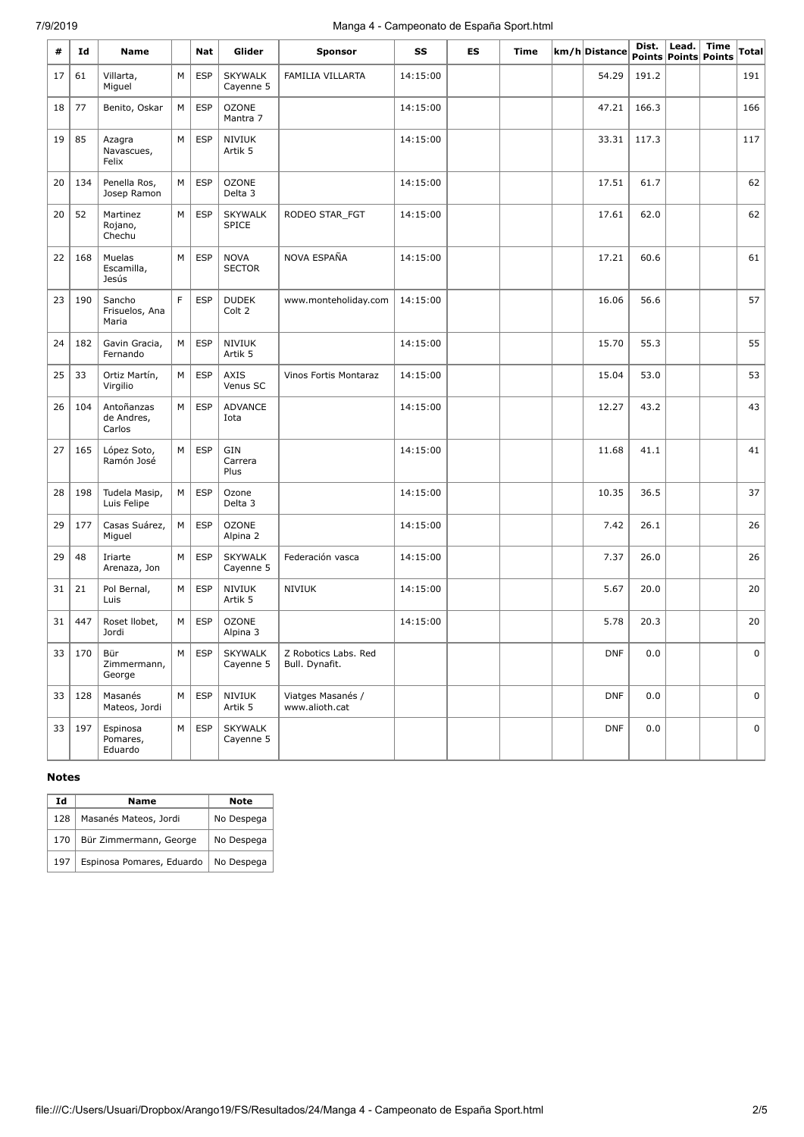# 7/9/2019 Manga 4 - Campeonato de España Sport.html

| #  | Id  | Name                               |   | Nat        | Glider                         | <b>Sponsor</b>                         | SS       | <b>ES</b> | Time | km/h Distance | Dist. | Lead. | <b>Time</b><br>Points Points Points | Total |
|----|-----|------------------------------------|---|------------|--------------------------------|----------------------------------------|----------|-----------|------|---------------|-------|-------|-------------------------------------|-------|
| 17 | 61  | Villarta,<br>Miguel                | M | <b>ESP</b> | <b>SKYWALK</b><br>Cayenne 5    | <b>FAMILIA VILLARTA</b>                | 14:15:00 |           |      | 54.29         | 191.2 |       |                                     | 191   |
| 18 | 77  | Benito, Oskar                      | M | <b>ESP</b> | <b>OZONE</b><br>Mantra 7       |                                        | 14:15:00 |           |      | 47.21         | 166.3 |       |                                     | 166   |
| 19 | 85  | Azagra<br>Navascues,<br>Felix      | М | <b>ESP</b> | <b>NIVIUK</b><br>Artik 5       |                                        | 14:15:00 |           |      | 33.31         | 117.3 |       |                                     | 117   |
| 20 | 134 | Penella Ros,<br>Josep Ramon        | M | <b>ESP</b> | <b>OZONE</b><br>Delta 3        |                                        | 14:15:00 |           |      | 17.51         | 61.7  |       |                                     | 62    |
| 20 | 52  | Martinez<br>Rojano,<br>Chechu      | M | <b>ESP</b> | <b>SKYWALK</b><br><b>SPICE</b> | RODEO STAR_FGT                         | 14:15:00 |           |      | 17.61         | 62.0  |       |                                     | 62    |
| 22 | 168 | Muelas<br>Escamilla,<br>Jesús      | M | <b>ESP</b> | <b>NOVA</b><br><b>SECTOR</b>   | NOVA ESPAÑA                            | 14:15:00 |           |      | 17.21         | 60.6  |       |                                     | 61    |
| 23 | 190 | Sancho<br>Frisuelos, Ana<br>Maria  | F | <b>ESP</b> | <b>DUDEK</b><br>Colt 2         | www.monteholiday.com                   | 14:15:00 |           |      | 16.06         | 56.6  |       |                                     | 57    |
| 24 | 182 | Gavin Gracia,<br>Fernando          | М | <b>ESP</b> | <b>NIVIUK</b><br>Artik 5       |                                        | 14:15:00 |           |      | 15.70         | 55.3  |       |                                     | 55    |
| 25 | 33  | Ortiz Martín,<br>Virgilio          | М | <b>ESP</b> | <b>AXIS</b><br>Venus SC        | Vinos Fortis Montaraz                  | 14:15:00 |           |      | 15.04         | 53.0  |       |                                     | 53    |
| 26 | 104 | Antoñanzas<br>de Andres,<br>Carlos | M | <b>ESP</b> | <b>ADVANCE</b><br>Iota         |                                        | 14:15:00 |           |      | 12.27         | 43.2  |       |                                     | 43    |
| 27 | 165 | López Soto,<br>Ramón José          | M | <b>ESP</b> | GIN<br>Carrera<br>Plus         |                                        | 14:15:00 |           |      | 11.68         | 41.1  |       |                                     | 41    |
| 28 | 198 | Tudela Masip,<br>Luis Felipe       | M | <b>ESP</b> | Ozone<br>Delta 3               |                                        | 14:15:00 |           |      | 10.35         | 36.5  |       |                                     | 37    |
| 29 | 177 | Casas Suárez,<br>Miguel            | M | <b>ESP</b> | <b>OZONE</b><br>Alpina 2       |                                        | 14:15:00 |           |      | 7.42          | 26.1  |       |                                     | 26    |
| 29 | 48  | Iriarte<br>Arenaza, Jon            | M | <b>ESP</b> | <b>SKYWALK</b><br>Cayenne 5    | Federación vasca                       | 14:15:00 |           |      | 7.37          | 26.0  |       |                                     | 26    |
| 31 | 21  | Pol Bernal,<br>Luis                | М | <b>ESP</b> | <b>NIVIUK</b><br>Artik 5       | <b>NIVIUK</b>                          | 14:15:00 |           |      | 5.67          | 20.0  |       |                                     | 20    |
| 31 | 447 | Roset Ilobet,<br>Jordi             | М | <b>ESP</b> | <b>OZONE</b><br>Alpina 3       |                                        | 14:15:00 |           |      | 5.78          | 20.3  |       |                                     | 20    |
| 33 | 170 | Bür<br>Zimmermann,<br>George       | М | <b>ESP</b> | <b>SKYWALK</b><br>Cayenne 5    | Z Robotics Labs. Red<br>Bull. Dynafit. |          |           |      | <b>DNF</b>    | 0.0   |       |                                     | 0     |
| 33 | 128 | Masanés<br>Mateos, Jordi           | M | <b>ESP</b> | <b>NIVIUK</b><br>Artik 5       | Viatges Masanés /<br>www.alioth.cat    |          |           |      | <b>DNF</b>    | 0.0   |       |                                     | 0     |
| 33 | 197 | Espinosa<br>Pomares,<br>Eduardo    | M | <b>ESP</b> | <b>SKYWALK</b><br>Cayenne 5    |                                        |          |           |      | <b>DNF</b>    | 0.0   |       |                                     | 0     |

## **Notes**

| Ιd  | Name                      | <b>Note</b> |
|-----|---------------------------|-------------|
| 128 | Masanés Mateos, Jordi     | No Despega  |
| 170 | Bür Zimmermann, George    | No Despega  |
| 197 | Espinosa Pomares, Eduardo | No Despega  |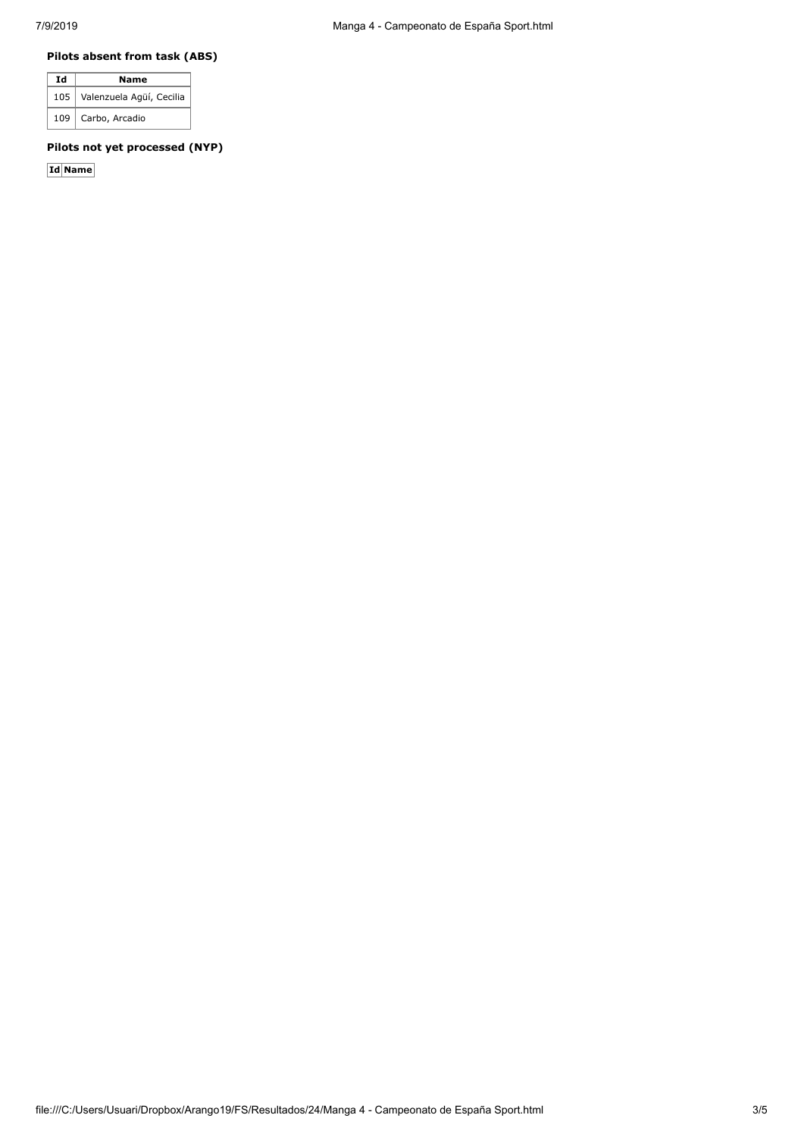#### **Pilots absent from task (ABS)**

| Ιd  | Name                     |  |  |  |  |  |  |  |  |  |
|-----|--------------------------|--|--|--|--|--|--|--|--|--|
| 105 | Valenzuela Agüí, Cecilia |  |  |  |  |  |  |  |  |  |
| 109 | Carbo, Arcadio           |  |  |  |  |  |  |  |  |  |

## **Pilots not yet processed (NYP)**

**Id Name**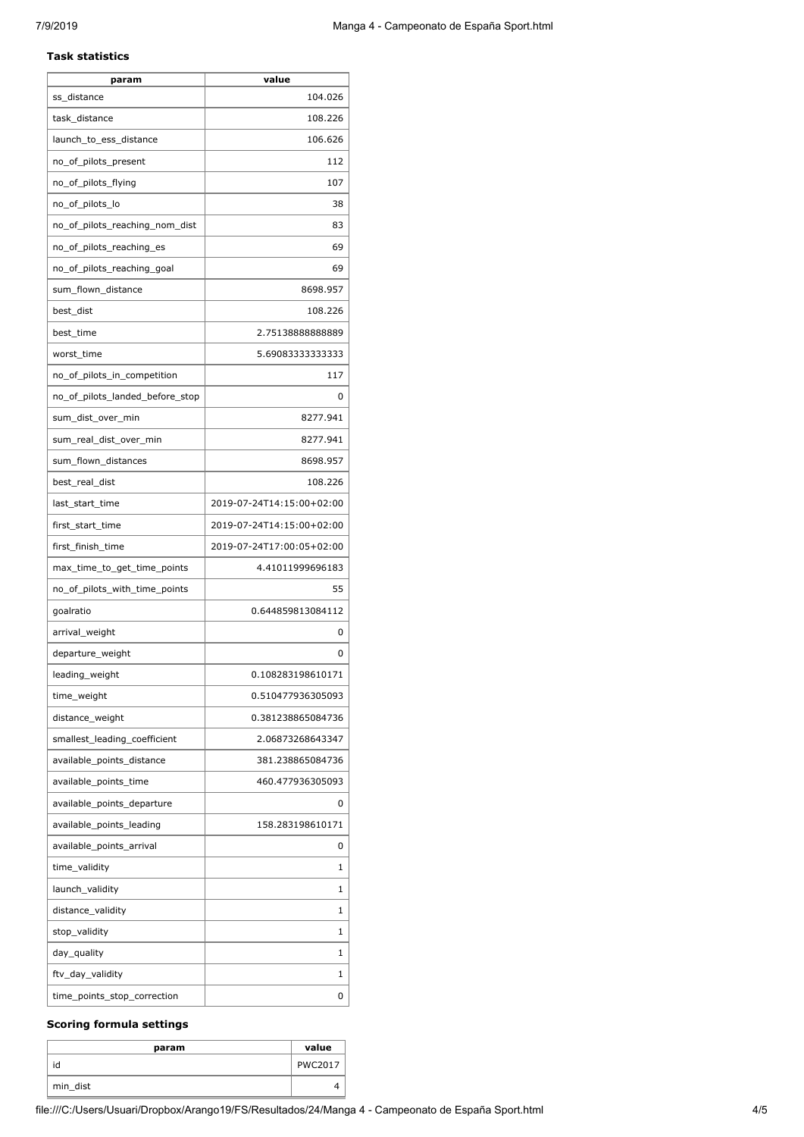#### **Task statistics**

| param                           | value                     |
|---------------------------------|---------------------------|
| ss distance                     | 104.026                   |
| task_distance                   | 108.226                   |
| launch_to_ess_distance          | 106.626                   |
| no_of_pilots_present            | 112                       |
| no_of_pilots_flying             | 107                       |
| no_of_pilots_lo                 | 38                        |
| no_of_pilots_reaching_nom_dist  | 83                        |
| no_of_pilots_reaching_es        | 69                        |
| no_of_pilots_reaching_goal      | 69                        |
| sum_flown_distance              | 8698.957                  |
| best_dist                       | 108.226                   |
| best_time                       | 2.7513888888889           |
| worst time                      | 5.69083333333333          |
| no_of_pilots_in_competition     | 117                       |
| no_of_pilots_landed_before_stop | 0                         |
| sum_dist_over_min               | 8277.941                  |
| sum_real_dist_over_min          | 8277.941                  |
| sum_flown_distances             | 8698.957                  |
| best_real_dist                  | 108.226                   |
| last_start_time                 | 2019-07-24T14:15:00+02:00 |
| first_start_time                | 2019-07-24T14:15:00+02:00 |
| first_finish_time               | 2019-07-24T17:00:05+02:00 |
| max_time_to_get_time_points     | 4.41011999696183          |
| no_of_pilots_with_time_points   | 55                        |
| goalratio                       | 0.644859813084112         |
| arrival_weight                  | 0                         |
| departure_weight                | 0                         |
| leading_weight                  | 0.108283198610171         |
| time_weight                     | 0.510477936305093         |
| distance_weight                 | 0.381238865084736         |
| smallest_leading_coefficient    | 2.06873268643347          |
| available_points_distance       | 381.238865084736          |
| available_points_time           | 460.477936305093          |
| available_points_departure      | 0                         |
| available_points_leading        | 158.283198610171          |
| available_points_arrival        | 0                         |
| time_validity                   | 1                         |
| launch_validity                 | 1                         |
| distance_validity               | 1                         |
| stop_validity                   | 1                         |
| day_quality                     | 1                         |
| ftv_day_validity                | 1                         |
| time_points_stop_correction     | 0                         |

#### **Scoring formula settings**

| param    | value          |
|----------|----------------|
| id       | <b>PWC2017</b> |
| min_dist |                |